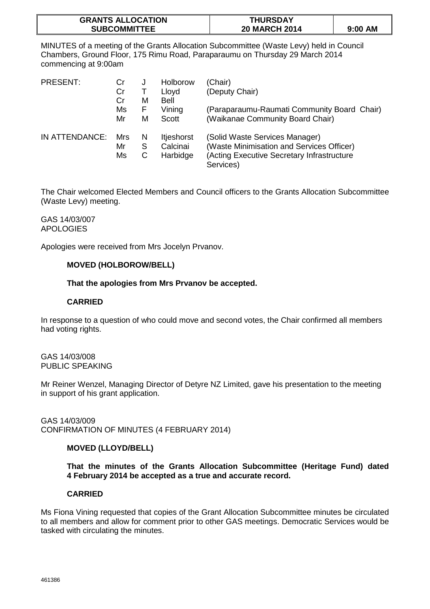| <b>GRANTS ALLOCATION</b> | <b>THURSDAY</b>      |         |
|--------------------------|----------------------|---------|
| <b>SUBCOMMITTEE</b>      | <b>20 MARCH 2014</b> | 9:00 AM |

MINUTES of a meeting of the Grants Allocation Subcommittee (Waste Levy) held in Council Chambers, Ground Floor, 175 Rimu Road, Paraparaumu on Thursday 29 March 2014 commencing at 9:00am

| PRESENT:       | Cr  | J | Holborow          | (Chair)                                     |
|----------------|-----|---|-------------------|---------------------------------------------|
|                | Cr  |   | Lloyd             | (Deputy Chair)                              |
|                | Cr  | М | Bell              |                                             |
|                | Ms  | F | Vining            | (Paraparaumu-Raumati Community Board Chair) |
|                | Mr  | М | <b>Scott</b>      | (Waikanae Community Board Chair)            |
| IN ATTENDANCE: | Mrs | N | <b>Itjeshorst</b> | (Solid Waste Services Manager)              |
|                | Mr  | S | Calcinai          | (Waste Minimisation and Services Officer)   |
|                | Ms  | C | Harbidge          | (Acting Executive Secretary Infrastructure  |
|                |     |   |                   | Services)                                   |

The Chair welcomed Elected Members and Council officers to the Grants Allocation Subcommittee (Waste Levy) meeting.

GAS 14/03/007 APOLOGIES

Apologies were received from Mrs Jocelyn Prvanov.

# **MOVED (HOLBOROW/BELL)**

### **That the apologies from Mrs Prvanov be accepted.**

### **CARRIED**

In response to a question of who could move and second votes, the Chair confirmed all members had voting rights.

GAS 14/03/008 PUBLIC SPEAKING

Mr Reiner Wenzel, Managing Director of Detyre NZ Limited, gave his presentation to the meeting in support of his grant application.

GAS 14/03/009 CONFIRMATION OF MINUTES (4 FEBRUARY 2014)

# **MOVED (LLOYD/BELL)**

**That the minutes of the Grants Allocation Subcommittee (Heritage Fund) dated 4 February 2014 be accepted as a true and accurate record.** 

# **CARRIED**

Ms Fiona Vining requested that copies of the Grant Allocation Subcommittee minutes be circulated to all members and allow for comment prior to other GAS meetings. Democratic Services would be tasked with circulating the minutes.